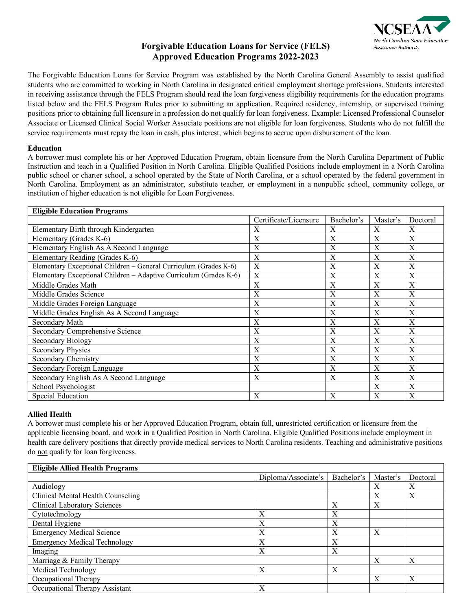

# **Forgivable Education Loans for Service (FELS) Approved Education Programs 2022-2023**

The Forgivable Education Loans for Service Program was established by the North Carolina General Assembly to assist qualified students who are committed to working in North Carolina in designated critical employment shortage professions. Students interested in receiving assistance through the FELS Program should read the loan forgiveness eligibility requirements for the education programs listed below and the FELS Program Rules prior to submitting an application. Required residency, internship, or supervised training positions prior to obtaining full licensure in a profession do not qualify for loan forgiveness. Example: Licensed Professional Counselor Associate or Licensed Clinical Social Worker Associate positions are not eligible for loan forgiveness. Students who do not fulfill the service requirements must repay the loan in cash, plus interest, which begins to accrue upon disbursement of the loan.

#### **Education**

A borrower must complete his or her Approved Education Program, obtain licensure from the North Carolina Department of Public Instruction and teach in a Qualified Position in North Carolina. Eligible Qualified Positions include employment in a North Carolina public school or charter school, a school operated by the State of North Carolina, or a school operated by the federal government in North Carolina. Employment as an administrator, substitute teacher, or employment in a nonpublic school, community college, or institution of higher education is not eligible for Loan Forgiveness.

| <b>Eligible Education Programs</b>                                 |                       |            |          |          |
|--------------------------------------------------------------------|-----------------------|------------|----------|----------|
|                                                                    | Certificate/Licensure | Bachelor's | Master's | Doctoral |
| Elementary Birth through Kindergarten                              | X                     | X          | X        | X        |
| Elementary (Grades K-6)                                            | X                     | X          | X        | X        |
| Elementary English As A Second Language                            | X                     | X          | X        | X        |
| Elementary Reading (Grades K-6)                                    | X                     | X          | X        | X        |
| Elementary Exceptional Children - General Curriculum (Grades K-6)  | X                     | X          | X        | X        |
| Elementary Exceptional Children - Adaptive Curriculum (Grades K-6) | X                     | X          | X        | X        |
| Middle Grades Math                                                 | X                     | X          | X        | X        |
| Middle Grades Science                                              | X                     | X          | X        | X        |
| Middle Grades Foreign Language                                     | X                     | X          | X        | X        |
| Middle Grades English As A Second Language                         | X                     | X          | X        | X        |
| Secondary Math                                                     | X                     | X          | X        | X        |
| Secondary Comprehensive Science                                    | X                     | X          | X        | X        |
| Secondary Biology                                                  | X                     | X          | X        | X        |
| <b>Secondary Physics</b>                                           | X                     | X          | X        | X        |
| Secondary Chemistry                                                | X                     | X          | X        | X        |
| Secondary Foreign Language                                         | X                     | X          | X        | X        |
| Secondary English As A Second Language                             | X                     | X          | X        | X        |
| School Psychologist                                                |                       |            | X        | X        |
| <b>Special Education</b>                                           | X                     | X          | X        | X        |

### **Allied Health**

A borrower must complete his or her Approved Education Program, obtain full, unrestricted certification or licensure from the applicable licensing board, and work in a Qualified Position in North Carolina. Eligible Qualified Positions include employment in health care delivery positions that directly provide medical services to North Carolina residents. Teaching and administrative positions do not qualify for loan forgiveness.

| <b>Eligible Allied Health Programs</b> |                     |            |                  |          |
|----------------------------------------|---------------------|------------|------------------|----------|
|                                        | Diploma/Associate's | Bachelor's | Master's         | Doctoral |
| Audiology                              |                     |            | X                | Х        |
| Clinical Mental Health Counseling      |                     |            | $\boldsymbol{X}$ | X        |
| <b>Clinical Laboratory Sciences</b>    |                     | X          | X                |          |
| Cytotechnology                         | X                   | X          |                  |          |
| Dental Hygiene                         | X                   | X          |                  |          |
| <b>Emergency Medical Science</b>       | X                   | X          | $\boldsymbol{X}$ |          |
| <b>Emergency Medical Technology</b>    | X                   | X          |                  |          |
| Imaging                                | X                   | X          |                  |          |
| Marriage & Family Therapy              |                     |            | $\boldsymbol{X}$ | X        |
| Medical Technology                     | X                   | X          |                  |          |
| Occupational Therapy                   |                     |            | X                | X        |
| Occupational Therapy Assistant         | X                   |            |                  |          |